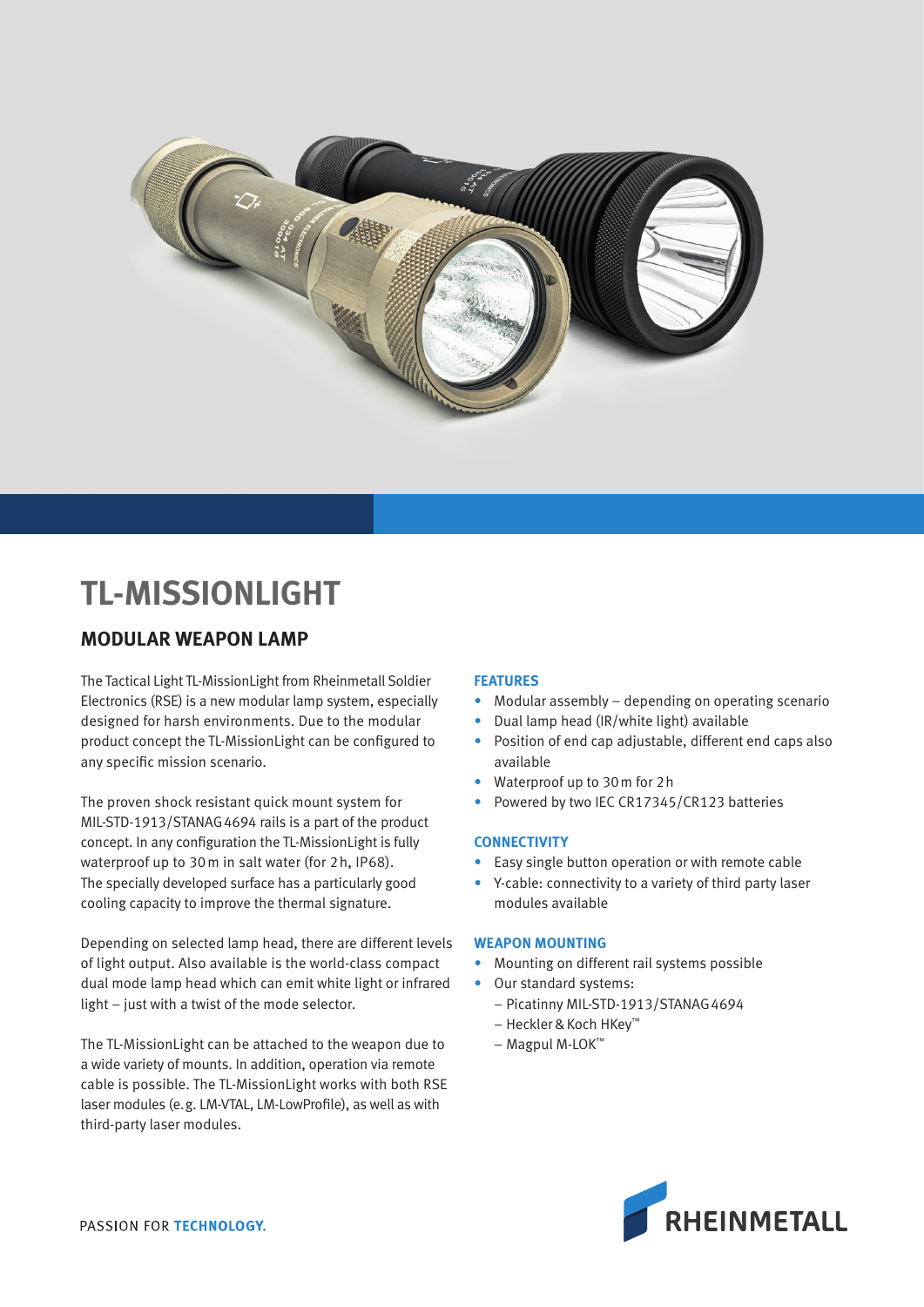

# **TL-MISSIONLIGHT**

# **MODULAR WEAPON LAMP**

The Tactical Light TL-MissionLight from Rheinmetall Soldier Electronics (RSE) is a new modular lamp system, especially designed for harsh environments. Due to the modular product concept the TL-MissionLight can be configured to any specific mission scenario.

The proven shock resistant quick mount system for MIL-STD-1913/STANAG4694 rails is a part of the product concept. In any configuration the TL-MissionLight is fully waterproof up to 30m in salt water (for 2h, IP68). The specially developed surface has a particularly good cooling capacity to improve the thermal signature.

Depending on selected lamp head, there are different levels of light output. Also available is the world-class compact dual mode lamp head which can emit white light or infrared light – just with a twist of the mode selector.

The TL-MissionLight can be attached to the weapon due to a wide variety of mounts. In addition, operation via remote cable is possible. The TL-MissionLight works with both RSE laser modules (e.g. LM-VTAL, LM-LowProfile), as well as with third-party laser modules.

# **FEATURES**

- Modular assembly depending on operating scenario
- Dual lamp head (IR/white light) available
- Position of end cap adjustable, different end caps also available
- Waterproof up to 30m for 2h
- Powered by two IEC CR17345/CR123 batteries

# **CONNECTIVITY**

- Easy single button operation or with remote cable
- Y-cable: connectivity to a variety of third party laser modules available

#### **WEAPON MOUNTING**

- Mounting on different rail systems possible
- Our standard systems:
	- Picatinny MIL-STD-1913/STANAG4694
	- Heckler & Koch HKey™
	- Magpul M-LOK™